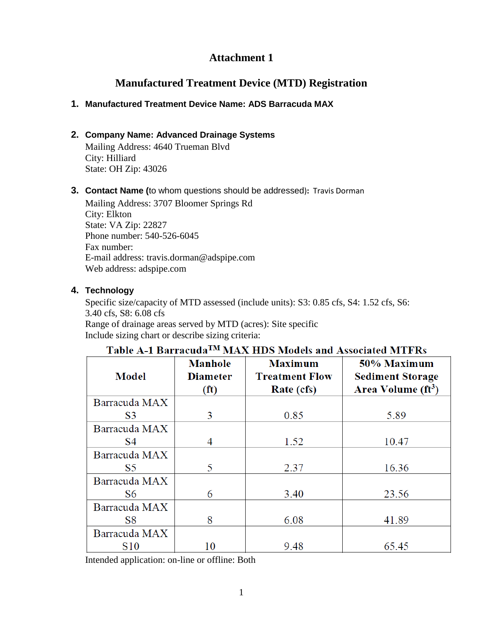# **Attachment 1**

# **Manufactured Treatment Device (MTD) Registration**

## **1. Manufactured Treatment Device Name: ADS Barracuda MAX**

## **2. Company Name: Advanced Drainage Systems**

Mailing Address: 4640 Trueman Blvd City: Hilliard State: OH Zip: 43026

### **3. Contact Name (**to whom questions should be addressed)**:** Travis Dorman

Mailing Address: 3707 Bloomer Springs Rd City: Elkton State: VA Zip: 22827 Phone number: 540-526-6045 Fax number: E-mail address: travis.dorman@adspipe.com Web address: adspipe.com

### **4. Technology**

Specific size/capacity of MTD assessed (include units): S3: 0.85 cfs, S4: 1.52 cfs, S6: 3.40 cfs, S8: 6.08 cfs Range of drainage areas served by MTD (acres): Site specific Include sizing chart or describe sizing criteria:

| <b>Model</b>   | <b>Manhole</b><br><b>Diameter</b><br>(f <sup>t</sup> ) | <b>Maximum</b><br><b>Treatment Flow</b><br>Rate (cfs) | 50% Maximum<br><b>Sediment Storage</b><br>Area Volume (ft <sup>3</sup> ) |
|----------------|--------------------------------------------------------|-------------------------------------------------------|--------------------------------------------------------------------------|
| Barracuda MAX  |                                                        |                                                       |                                                                          |
| S3             | 3                                                      | 0.85                                                  | 5.89                                                                     |
| Barracuda MAX  |                                                        |                                                       |                                                                          |
| S4             | 4                                                      | 1.52                                                  | 10.47                                                                    |
| Barracuda MAX  |                                                        |                                                       |                                                                          |
| S <sub>5</sub> | 5                                                      | 2.37                                                  | 16.36                                                                    |
| Barracuda MAX  |                                                        |                                                       |                                                                          |
| S6             | 6                                                      | 3.40                                                  | 23.56                                                                    |
| Barracuda MAX  |                                                        |                                                       |                                                                          |
| S8             | 8                                                      | 6.08                                                  | 41.89                                                                    |
| Barracuda MAX  |                                                        |                                                       |                                                                          |
| <b>S10</b>     | 10                                                     | 9.48                                                  | 65.45                                                                    |

# Table A-1 Barracuda<sup>TM</sup> MAX HDS Models and Associated MTFRs

Intended application: on-line or offline: Both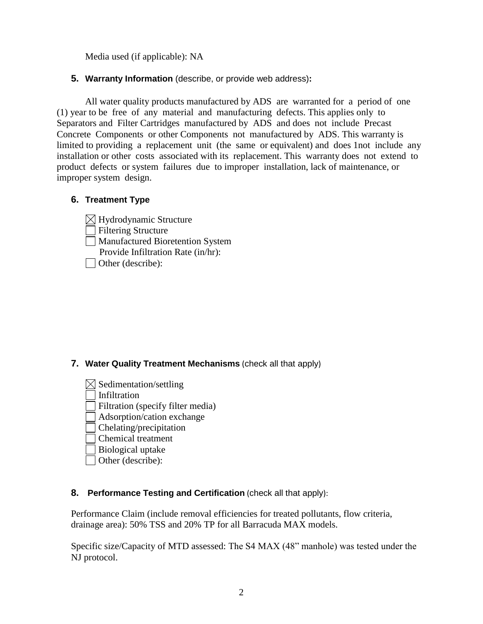Media used (if applicable): NA

**5. Warranty Information** (describe, or provide web address)**:**

All water quality products manufactured by ADS are warranted for a period of one (1) year to be free of any material and manufacturing defects. This applies only to Separators and Filter Cartridges manufactured by ADS and does not include Precast Concrete Components or other Components not manufactured by ADS. This warranty is limited to providing a replacement unit (the same or equivalent) and does 1not include any installation or other costs associated with its replacement. This warranty does not extend to product defects or system failures due to improper installation, lack of maintenance, or improper system design.

# **6. Treatment Type**

 $\boxtimes$  Hydrodynamic Structure Filtering Structure Manufactured Bioretention System Provide Infiltration Rate (in/hr): **Other** (describe):

- **7. Water Quality Treatment Mechanisms** (check all that apply)
	- $\boxtimes$  Sedimentation/settling

Infiltration

- Filtration (specify filter media)
- Adsorption/cation exchange
- Chelating/precipitation
- Chemical treatment
- Biological uptake
- Other (describe):

### **8. Performance Testing and Certification** (check all that apply):

Performance Claim (include removal efficiencies for treated pollutants, flow criteria, drainage area): 50% TSS and 20% TP for all Barracuda MAX models.

Specific size/Capacity of MTD assessed: The S4 MAX (48" manhole) was tested under the NJ protocol.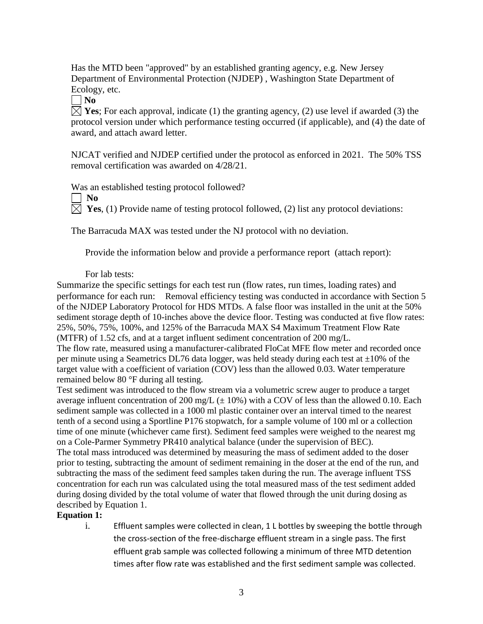Has the MTD been "approved" by an established granting agency, e.g. New Jersey Department of Environmental Protection (NJDEP) , Washington State Department of Ecology, etc.

 $\neg$  No

 $\boxtimes$  **Yes**; For each approval, indicate (1) the granting agency, (2) use level if awarded (3) the protocol version under which performance testing occurred (if applicable), and (4) the date of award, and attach award letter.

NJCAT verified and NJDEP certified under the protocol as enforced in 2021. The 50% TSS removal certification was awarded on 4/28/21.

Was an established testing protocol followed?

 $\mathbf{N}$ 

 $\boxtimes$  **Yes**, (1) Provide name of testing protocol followed, (2) list any protocol deviations:

The Barracuda MAX was tested under the NJ protocol with no deviation.

Provide the information below and provide a performance report (attach report):

#### For lab tests:

Summarize the specific settings for each test run (flow rates, run times, loading rates) and performance for each run: Removal efficiency testing was conducted in accordance with Section 5 of the NJDEP Laboratory Protocol for HDS MTDs. A false floor was installed in the unit at the 50% sediment storage depth of 10-inches above the device floor. Testing was conducted at five flow rates: 25%, 50%, 75%, 100%, and 125% of the Barracuda MAX S4 Maximum Treatment Flow Rate (MTFR) of 1.52 cfs, and at a target influent sediment concentration of 200 mg/L.

The flow rate, measured using a manufacturer-calibrated FloCat MFE flow meter and recorded once per minute using a Seametrics DL76 data logger, was held steady during each test at  $\pm 10\%$  of the target value with a coefficient of variation (COV) less than the allowed 0.03. Water temperature remained below 80 °F during all testing.

Test sediment was introduced to the flow stream via a volumetric screw auger to produce a target average influent concentration of 200 mg/L  $(\pm 10\%)$  with a COV of less than the allowed 0.10. Each sediment sample was collected in a 1000 ml plastic container over an interval timed to the nearest tenth of a second using a Sportline P176 stopwatch, for a sample volume of 100 ml or a collection time of one minute (whichever came first). Sediment feed samples were weighed to the nearest mg on a Cole-Parmer Symmetry PR410 analytical balance (under the supervision of BEC). The total mass introduced was determined by measuring the mass of sediment added to the doser prior to testing, subtracting the amount of sediment remaining in the doser at the end of the run, and subtracting the mass of the sediment feed samples taken during the run. The average influent TSS concentration for each run was calculated using the total measured mass of the test sediment added during dosing divided by the total volume of water that flowed through the unit during dosing as described by Equation 1.

#### **Equation 1:**

i. Effluent samples were collected in clean, 1 L bottles by sweeping the bottle through the cross-section of the free-discharge effluent stream in a single pass. The first effluent grab sample was collected following a minimum of three MTD detention times after flow rate was established and the first sediment sample was collected.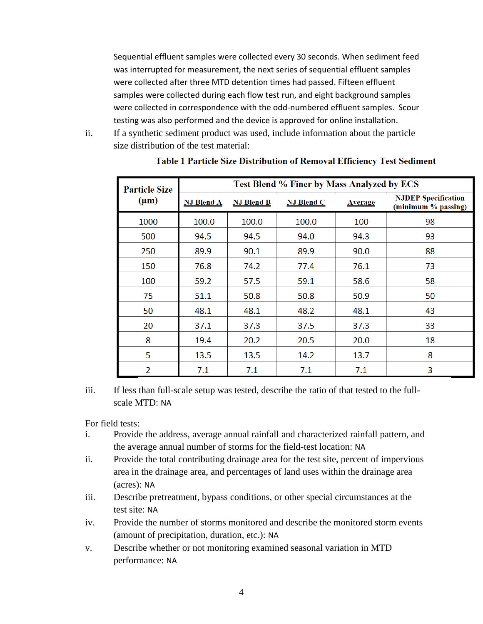Sequential effluent samples were collected every 30 seconds. When sediment feed was interrupted for measurement, the next series of sequential effluent samples were collected after three MTD detention times had passed. Fifteen effluent samples were collected during each flow test run, and eight background samples were collected in correspondence with the odd-numbered effluent samples. Scour testing was also performed and the device is approved for online installation.

ii. If a synthetic sediment product was used, include information about the particle size distribution of the test material:

| <b>Particle Size</b> | Test Blend % Finer by Mass Analyzed by ECS |                   |                   |                |                                                   |  |
|----------------------|--------------------------------------------|-------------------|-------------------|----------------|---------------------------------------------------|--|
| $(\mu m)$            | <b>NJ Blend A</b>                          | <b>NJ Blend B</b> | <b>NJ Blend C</b> | <b>Average</b> | <b>NJDEP</b> Specification<br>(minimum % passing) |  |
| 1000                 | 100.0                                      | 100.0             | 100.0             | 100            | 98                                                |  |
| 500                  | 94.5                                       | 94.5              | 94.0              | 94.3           | 93                                                |  |
| 250                  | 89.9                                       | 90.1              | 89.9              | 90.0           | 88                                                |  |
| 150                  | 76.8                                       | 74.2              | 77.4              | 76.1           | 73                                                |  |
| 100                  | 59.2                                       | 57.5              | 59.1              | 58.6           | 58                                                |  |
| 75                   | 51.1                                       | 50.8              | 50.8              | 50.9           | 50                                                |  |
| 50                   | 48.1                                       | 48.1              | 48.2              | 48.1           | 43                                                |  |
| 20                   | 37.1                                       | 37.3              | 37.5              | 37.3           | 33                                                |  |
| 8                    | 19.4                                       | 20.2              | 20.5              | 20.0           | 18                                                |  |
| 5                    | 13.5                                       | 13.5              | 14.2              | 13.7           | 8                                                 |  |
| $\overline{2}$       | 7.1                                        | 7.1               | 7.1               | 7.1            | 3                                                 |  |

#### Table 1 Particle Size Distribution of Removal Efficiency Test Sediment

iii. If less than full-scale setup was tested, describe the ratio of that tested to the fullscale MTD: NA

For field tests:

- i. Provide the address, average annual rainfall and characterized rainfall pattern, and the average annual number of storms for the field-test location: NA
- ii. Provide the total contributing drainage area for the test site, percent of impervious area in the drainage area, and percentages of land uses within the drainage area (acres): NA
- iii. Describe pretreatment, bypass conditions, or other special circumstances at the test site: NA
- iv. Provide the number of storms monitored and describe the monitored storm events (amount of precipitation, duration, etc.): NA
- v. Describe whether or not monitoring examined seasonal variation in MTD performance: NA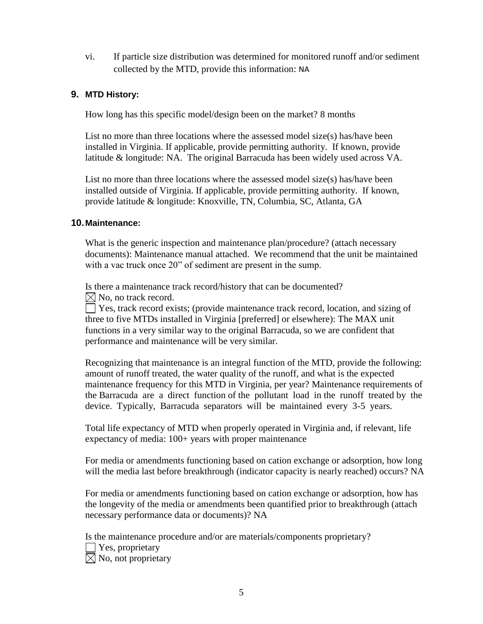vi. If particle size distribution was determined for monitored runoff and/or sediment collected by the MTD, provide this information: NA

### **9. MTD History:**

How long has this specific model/design been on the market? 8 months

List no more than three locations where the assessed model size(s) has/have been installed in Virginia. If applicable, provide permitting authority. If known, provide latitude & longitude: NA. The original Barracuda has been widely used across VA.

List no more than three locations where the assessed model size(s) has/have been installed outside of Virginia. If applicable, provide permitting authority. If known, provide latitude & longitude: Knoxville, TN, Columbia, SC, Atlanta, GA

#### **10.Maintenance:**

What is the generic inspection and maintenance plan/procedure? (attach necessary documents): Maintenance manual attached. We recommend that the unit be maintained with a vac truck once 20" of sediment are present in the sump.

Is there a maintenance track record/history that can be documented?  $\boxtimes$  No, no track record.

Yes, track record exists; (provide maintenance track record, location, and sizing of three to five MTDs installed in Virginia [preferred] or elsewhere): The MAX unit functions in a very similar way to the original Barracuda, so we are confident that performance and maintenance will be very similar.

Recognizing that maintenance is an integral function of the MTD, provide the following: amount of runoff treated, the water quality of the runoff, and what is the expected maintenance frequency for this MTD in Virginia, per year? Maintenance requirements of the Barracuda are a direct function of the pollutant load in the runoff treated by the device. Typically, Barracuda separators will be maintained every 3-5 years.

Total life expectancy of MTD when properly operated in Virginia and, if relevant, life expectancy of media: 100+ years with proper maintenance

For media or amendments functioning based on cation exchange or adsorption, how long will the media last before breakthrough (indicator capacity is nearly reached) occurs? NA

For media or amendments functioning based on cation exchange or adsorption, how has the longevity of the media or amendments been quantified prior to breakthrough (attach necessary performance data or documents)? NA

Is the maintenance procedure and/or are materials/components proprietary? Yes, proprietary  $\boxtimes$  No, not proprietary